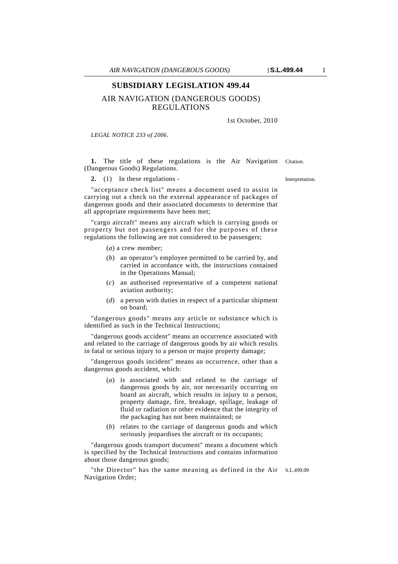## AIR NAVIGATION (DANGEROUS GOODS) REGULATIONS

1st October, 2010

*LEGAL NOTICE 233 of 2006.*

**1.** The title of these regulations is the Air Navigation Citation. (Dangerous Goods) Regulations.

**2.** (1) In these regulations - Interpretation.

"acceptance check list" means a document used to assist in carrying out a check on the external appearance of packages of dangerous goods and their associated documents to determine that all appropriate requirements have been met;

"cargo aircraft" means any aircraft which is carrying goods or property but not passengers and for the purposes of these regulations the following are not considered to be passengers;

- (*a*) a crew member;
- (*b*) an operator's employee permitted to be carried by, and carried in accordance with, the instructions contained in the Operations Manual;
- (*c*) an authorised representative of a competent national aviation authority;
- (*d*) a person with duties in respect of a particular shipment on board;

"dangerous goods" means any article or substance which is identified as such in the Technical Instructions;

"dangerous goods accident" means an occurrence associated with and related to the carriage of dangerous goods by air which results in fatal or serious injury to a person or major property damage;

"dangerous goods incident" means an occurrence, other than a dangerous goods accident, which:

- (*a*) is associated with and related to the carriage of dangerous goods by air, not necessarily occurring on board an aircraft, which results in injury to a person, property damage, fire, breakage, spillage, leakage of fluid or radiation or other evidence that the integrity of the packaging has not been maintained; or
- (*b*) relates to the carriage of dangerous goods and which seriously jeopardises the aircraft or its occupants;

"dangerous goods transport document" means a document which is specified by the Technical Instructions and contains information about those dangerous goods;

"the Director" has the same meaning as defined in the Air S.L.499.09 Navigation Order;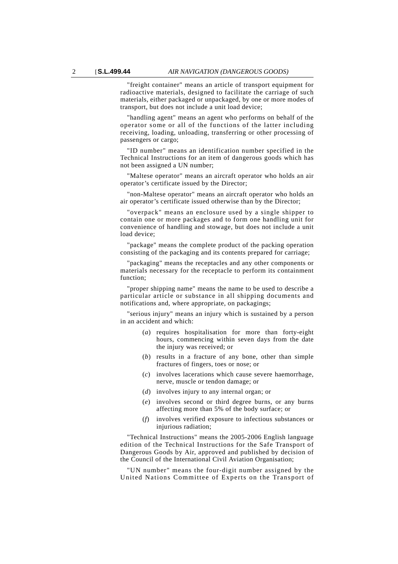"freight container" means an article of transport equipment for radioactive materials, designed to facilitate the carriage of such materials, either packaged or unpackaged, by one or more modes of transport, but does not include a unit load device;

"handling agent" means an agent who performs on behalf of the operator some or all of the functions of the latter including receiving, loading, unloading, transferring or other processing of passengers or cargo;

"ID number" means an identification number specified in the Technical Instructions for an item of dangerous goods which has not been assigned a UN number;

"Maltese operator" means an aircraft operator who holds an air operator's certificate issued by the Director;

"non-Maltese operator" means an aircraft operator who holds an air operator's certificate issued otherwise than by the Director;

"overpack" means an enclosure used by a single shipper to contain one or more packages and to form one handling unit for convenience of handling and stowage, but does not include a unit load device;

"package" means the complete product of the packing operation consisting of the packaging and its contents prepared for carriage;

"packaging" means the receptacles and any other components or materials necessary for the receptacle to perform its containment function;

"proper shipping name" means the name to be used to describe a particular article or substance in all shipping documents and notifications and, where appropriate, on packagings;

"serious injury" means an injury which is sustained by a person in an accident and which:

- (*a*) requires hospitalisation for more than forty-eight hours, commencing within seven days from the date the injury was received; or
- (*b*) results in a fracture of any bone, other than simple fractures of fingers, toes or nose; or
- (*c*) involves lacerations which cause severe haemorrhage, nerve, muscle or tendon damage; or
- (*d*) involves injury to any internal organ; or
- (*e*) involves second or third degree burns, or any burns affecting more than 5% of the body surface; or
- (*f*) involves verified exposure to infectious substances or injurious radiation;

"Technical Instructions" means the 2005-2006 English language edition of the Technical Instructions for the Safe Transport of Dangerous Goods by Air, approved and published by decision of the Council of the International Civil Aviation Organisation;

"UN number" means the four-digit number assigned by the United Nations Committee of Experts on the Transport of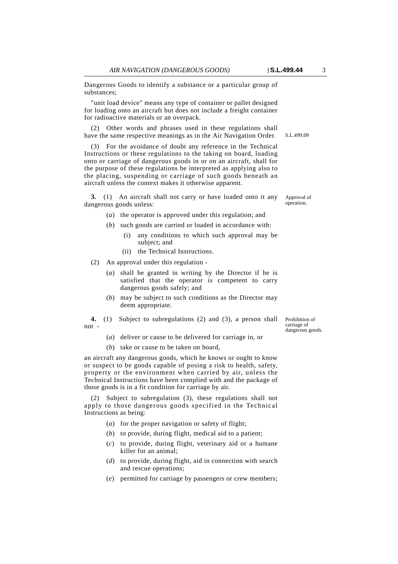Dangerous Goods to identify a substance or a particular group of substances;

"unit load device" means any type of container or pallet designed for loading onto an aircraft but does not include a freight container for radioactive materials or an overpack.

(2) Other words and phrases used in these regulations shall have the same respective meanings as in the Air Navigation Order.

(3) For the avoidance of doubt any reference in the Technical Instructions or these regulations to the taking on board, loading onto or carriage of dangerous goods in or on an aircraft, shall for the purpose of these regulations be interpreted as applying also to the placing, suspending or carriage of such goods beneath an aircraft unless the context makes it otherwise apparent.

**3.** (1) An aircraft shall not carry or have loaded onto it any dangerous goods unless:

- (*a*) the operator is approved under this regulation; and
- (*b*) such goods are carried or loaded in accordance with:
	- (i) any conditions to which such approval may be subject; and
	- (ii) the Technical Instructions.

(2) An approval under this regulation -

- (*a*) shall be granted in writing by the Director if he is satisfied that the operator is competent to carry dangerous goods safely; and
- (*b*) may be subject to such conditions as the Director may deem appropriate.
- **4.** (1) Subject to subregulations (2) and (3), a person shall not -
	- (*a*) deliver or cause to be delivered for carriage in, or
	- (*b*) take or cause to be taken on board,

an aircraft any dangerous goods, which he knows or ought to know or suspect to be goods capable of posing a risk to health, safety, property or the environment when carried by air, unless the Technical Instructions have been complied with and the package of those goods is in a fit condition for carriage by air.

(2) Subject to subregulation (3), these regulations shall not apply to those dangerous goods specified in the Technical Instructions as being:

- (*a*) for the proper navigation or safety of flight;
- (*b*) to provide, during flight, medical aid to a patient;
- (*c*) to provide, during flight, veterinary aid or a humane killer for an animal;
- (*d*) to provide, during flight, aid in connection with search and rescue operations;
- (*e*) permitted for carriage by passengers or crew members;

Prohibition of carriage of dangerous goods.

Approval of operation.

S.L.499.09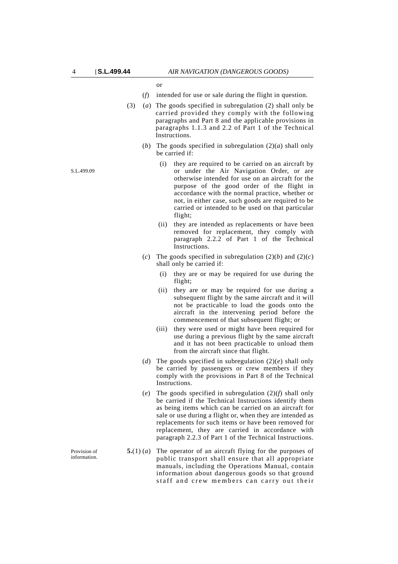or

- (*f*) intended for use or sale during the flight in question.
- (3) (*a*) The goods specified in subregulation (2) shall only be carried provided they comply with the following paragraphs and Part 8 and the applicable provisions in paragraphs 1.1.3 and 2.2 of Part 1 of the Technical Instructions.
	- (*b*) The goods specified in subregulation  $(2)(a)$  shall only be carried if:
		- (i) they are required to be carried on an aircraft by or under the Air Navigation Order, or are otherwise intended for use on an aircraft for the purpose of the good order of the flight in accordance with the normal practice, whether or not, in either case, such goods are required to be carried or intended to be used on that particular flight;
		- (ii) they are intended as replacements or have been removed for replacement, they comply with paragraph 2.2.2 of Part 1 of the Technical Instructions.
	- (*c*) The goods specified in subregulation  $(2)(b)$  and  $(2)(c)$ shall only be carried if:
		- (i) they are or may be required for use during the flight:
		- (ii) they are or may be required for use during a subsequent flight by the same aircraft and it will not be practicable to load the goods onto the aircraft in the intervening period before the commencement of that subsequent flight; or
		- (iii) they were used or might have been required for use during a previous flight by the same aircraft and it has not been practicable to unload them from the aircraft since that flight.
	- (*d*) The goods specified in subregulation  $(2)(e)$  shall only be carried by passengers or crew members if they comply with the provisions in Part 8 of the Technical Instructions.
	- (*e*) The goods specified in subregulation (2)(*f*) shall only be carried if the Technical Instructions identify them as being items which can be carried on an aircraft for sale or use during a flight or, when they are intended as replacements for such items or have been removed for replacement, they are carried in accordance with paragraph 2.2.3 of Part 1 of the Technical Instructions.
- **5.**(1) (*a*) The operator of an aircraft flying for the purposes of public transport shall ensure that all appropriate manuals, including the Operations Manual, contain information about dangerous goods so that ground staff and crew members can carry out their

S.L.499.09

Provision of information.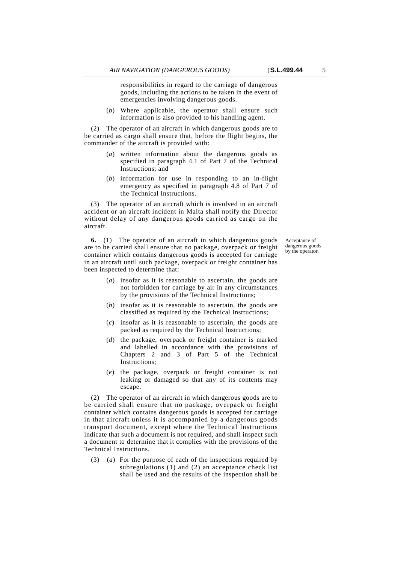responsibilities in regard to the carriage of dangerous goods, including the actions to be taken in the event of emergencies involving dangerous goods.

(*b*) Where applicable, the operator shall ensure such information is also provided to his handling agent.

(2) The operator of an aircraft in which dangerous goods are to be carried as cargo shall ensure that, before the flight begins, the commander of the aircraft is provided with:

- (*a*) written information about the dangerous goods as specified in paragraph 4.1 of Part 7 of the Technical Instructions; and
- (*b*) information for use in responding to an in-flight emergency as specified in paragraph 4.8 of Part 7 of the Technical Instructions.

(3) The operator of an aircraft which is involved in an aircraft accident or an aircraft incident in Malta shall notify the Director without delay of any dangerous goods carried as cargo on the aircraft.

**6.** (1) The operator of an aircraft in which dangerous goods are to be carried shall ensure that no package, overpack or freight container which contains dangerous goods is accepted for carriage in an aircraft until such package, overpack or freight container has been inspected to determine that:

Acceptance of dangerous goods by the operator.

- (*a*) insofar as it is reasonable to ascertain, the goods are not forbidden for carriage by air in any circumstances by the provisions of the Technical Instructions;
- (*b*) insofar as it is reasonable to ascertain, the goods are classified as required by the Technical Instructions;
- (*c*) insofar as it is reasonable to ascertain, the goods are packed as required by the Technical Instructions;
- (*d*) the package, overpack or freight container is marked and labelled in accordance with the provisions of Chapters 2 and 3 of Part 5 of the Technical Instructions;
- (*e*) the package, overpack or freight container is not leaking or damaged so that any of its contents may escape.

(2) The operator of an aircraft in which dangerous goods are to be carried shall ensure that no package, overpack or freight container which contains dangerous goods is accepted for carriage in that aircraft unless it is accompanied by a dangerous goods transport document, except where the Technical Instructions indicate that such a document is not required, and shall inspect such a document to determine that it complies with the provisions of the Technical Instructions.

(3) (*a*) For the purpose of each of the inspections required by subregulations (1) and (2) an acceptance check list shall be used and the results of the inspection shall be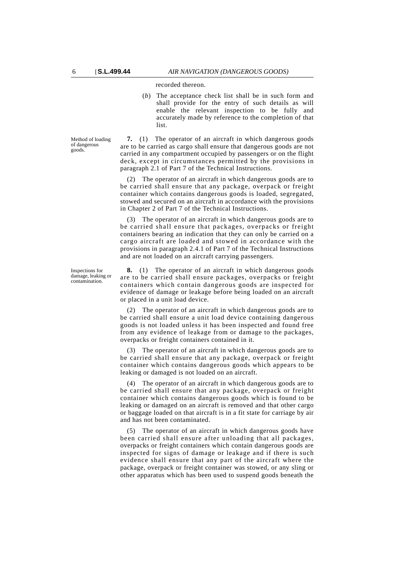recorded thereon.

(*b*) The acceptance check list shall be in such form and shall provide for the entry of such details as will enable the relevant inspection to be fully and accurately made by reference to the completion of that list.

Method of loading of dangerous goods.

**7.** (1) The operator of an aircraft in which dangerous goods are to be carried as cargo shall ensure that dangerous goods are not carried in any compartment occupied by passengers or on the flight deck, except in circumstances permitted by the provisions in paragraph 2.1 of Part 7 of the Technical Instructions.

(2) The operator of an aircraft in which dangerous goods are to be carried shall ensure that any package, overpack or freight container which contains dangerous goods is loaded, segregated, stowed and secured on an aircraft in accordance with the provisions in Chapter 2 of Part 7 of the Technical Instructions.

(3) The operator of an aircraft in which dangerous goods are to be carried shall ensure that packages, overpacks or freight containers bearing an indication that they can only be carried on a cargo aircraft are loaded and stowed in accordance with the provisions in paragraph 2.4.1 of Part 7 of the Technical Instructions and are not loaded on an aircraft carrying passengers.

**8.** (1) The operator of an aircraft in which dangerous goods are to be carried shall ensure packages, overpacks or freight containers which contain dangerous goods are inspected for evidence of damage or leakage before being loaded on an aircraft or placed in a unit load device.

(2) The operator of an aircraft in which dangerous goods are to be carried shall ensure a unit load device containing dangerous goods is not loaded unless it has been inspected and found free from any evidence of leakage from or damage to the packages, overpacks or freight containers contained in it.

(3) The operator of an aircraft in which dangerous goods are to be carried shall ensure that any package, overpack or freight container which contains dangerous goods which appears to be leaking or damaged is not loaded on an aircraft.

(4) The operator of an aircraft in which dangerous goods are to be carried shall ensure that any package, overpack or freight container which contains dangerous goods which is found to be leaking or damaged on an aircraft is removed and that other cargo or baggage loaded on that aircraft is in a fit state for carriage by air and has not been contaminated.

(5) The operator of an aircraft in which dangerous goods have been carried shall ensure after unloading that all packages, overpacks or freight containers which contain dangerous goods are inspected for signs of damage or leakage and if there is such evidence shall ensure that any part of the aircraft where the package, overpack or freight container was stowed, or any sling or other apparatus which has been used to suspend goods beneath the

Inspections for damage, leaking or contamination.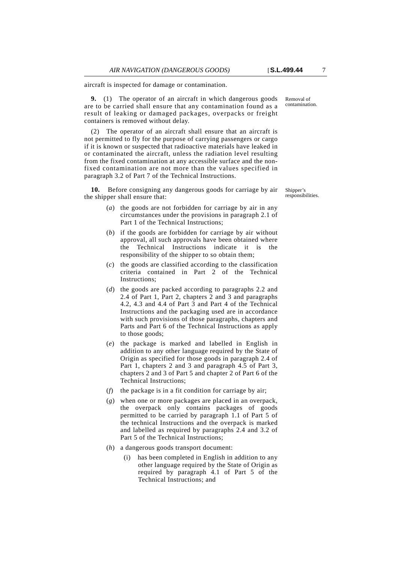aircraft is inspected for damage or contamination.

**9.** (1) The operator of an aircraft in which dangerous goods are to be carried shall ensure that any contamination found as a result of leaking or damaged packages, overpacks or freight containers is removed without delay.

(2) The operator of an aircraft shall ensure that an aircraft is not permitted to fly for the purpose of carrying passengers or cargo if it is known or suspected that radioactive materials have leaked in or contaminated the aircraft, unless the radiation level resulting from the fixed contamination at any accessible surface and the nonfixed contamination are not more than the values specified in paragraph 3.2 of Part 7 of the Technical Instructions.

**10.** Before consigning any dangerous goods for carriage by air the shipper shall ensure that:

- (*a*) the goods are not forbidden for carriage by air in any circumstances under the provisions in paragraph 2.1 of Part 1 of the Technical Instructions;
- (*b*) if the goods are forbidden for carriage by air without approval, all such approvals have been obtained where the Technical Instructions indicate it is the responsibility of the shipper to so obtain them;
- (*c*) the goods are classified according to the classification criteria contained in Part 2 of the Technical Instructions;
- (*d*) the goods are packed according to paragraphs 2.2 and 2.4 of Part 1, Part 2, chapters 2 and 3 and paragraphs 4.2, 4.3 and 4.4 of Part 3 and Part 4 of the Technical Instructions and the packaging used are in accordance with such provisions of those paragraphs, chapters and Parts and Part 6 of the Technical Instructions as apply to those goods;
- (*e*) the package is marked and labelled in English in addition to any other language required by the State of Origin as specified for those goods in paragraph 2.4 of Part 1, chapters 2 and 3 and paragraph 4.5 of Part 3, chapters 2 and 3 of Part 5 and chapter 2 of Part 6 of the Technical Instructions;
- (*f*) the package is in a fit condition for carriage by air;
- (*g*) when one or more packages are placed in an overpack, the overpack only contains packages of goods permitted to be carried by paragraph 1.1 of Part 5 of the technical Instructions and the overpack is marked and labelled as required by paragraphs 2.4 and 3.2 of Part 5 of the Technical Instructions;
- (*h*) a dangerous goods transport document:
	- (i) has been completed in English in addition to any other language required by the State of Origin as required by paragraph 4.1 of Part 5 of the Technical Instructions; and

Removal of contamination.

Shipper's responsibilities.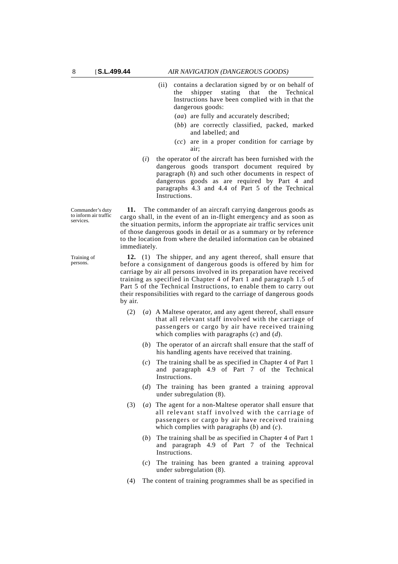- (ii) contains a declaration signed by or on behalf of the shipper stating that the Technical Instructions have been complied with in that the dangerous goods:
	- (*aa*) are fully and accurately described;
	- (*bb*) are correctly classified, packed, marked and labelled; and
	- (*cc*) are in a proper condition for carriage by air;
- (*i*) the operator of the aircraft has been furnished with the dangerous goods transport document required by paragraph (*h*) and such other documents in respect of dangerous goods as are required by Part 4 and paragraphs 4.3 and 4.4 of Part 5 of the Technical Instructions.

**11.** The commander of an aircraft carrying dangerous goods as cargo shall, in the event of an in-flight emergency and as soon as the situation permits, inform the appropriate air traffic services unit of those dangerous goods in detail or as a summary or by reference to the location from where the detailed information can be obtained immediately.

**12.** (1) The shipper, and any agent thereof, shall ensure that before a consignment of dangerous goods is offered by him for carriage by air all persons involved in its preparation have received training as specified in Chapter 4 of Part 1 and paragraph 1.5 of Part 5 of the Technical Instructions, to enable them to carry out their responsibilities with regard to the carriage of dangerous goods by air.

- (2) (*a*) A Maltese operator, and any agent thereof, shall ensure that all relevant staff involved with the carriage of passengers or cargo by air have received training which complies with paragraphs (*c*) and (*d*).
	- (*b*) The operator of an aircraft shall ensure that the staff of his handling agents have received that training.
	- (*c*) The training shall be as specified in Chapter 4 of Part 1 and paragraph 4.9 of Part 7 of the Technical Instructions.
	- (*d*) The training has been granted a training approval under subregulation (8).
- (3) (*a*) The agent for a non-Maltese operator shall ensure that all relevant staff involved with the carriage of passengers or cargo by air have received training which complies with paragraphs (*b*) and (*c*).
	- (*b*) The training shall be as specified in Chapter 4 of Part 1 and paragraph 4.9 of Part 7 of the Technical Instructions.
	- (*c*) The training has been granted a training approval under subregulation (8).
- (4) The content of training programmes shall be as specified in

Commander's duty to inform air traffic services.

Training of persons.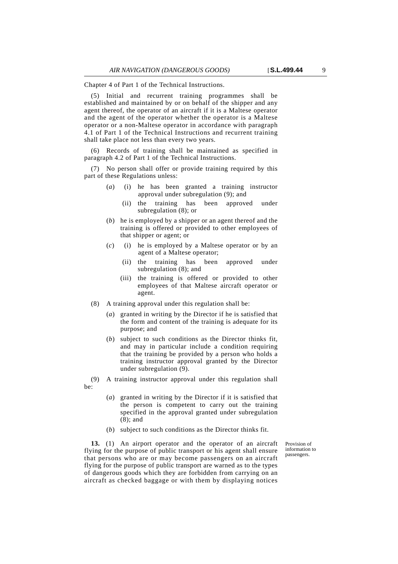Chapter 4 of Part 1 of the Technical Instructions.

(5) Initial and recurrent training programmes shall be established and maintained by or on behalf of the shipper and any agent thereof, the operator of an aircraft if it is a Maltese operator and the agent of the operator whether the operator is a Maltese operator or a non-Maltese operator in accordance with paragraph 4.1 of Part 1 of the Technical Instructions and recurrent training shall take place not less than every two years.

(6) Records of training shall be maintained as specified in paragraph 4.2 of Part 1 of the Technical Instructions.

(7) No person shall offer or provide training required by this part of these Regulations unless:

- (*a*) (i) he has been granted a training instructor approval under subregulation (9); and
	- (ii) the training has been approved under subregulation (8); or
- (*b*) he is employed by a shipper or an agent thereof and the training is offered or provided to other employees of that shipper or agent; or
- (*c*) (i) he is employed by a Maltese operator or by an agent of a Maltese operator;
	- (ii) the training has been approved under subregulation (8); and
	- (iii) the training is offered or provided to other employees of that Maltese aircraft operator or agent.
- (8) A training approval under this regulation shall be:
	- (*a*) granted in writing by the Director if he is satisfied that the form and content of the training is adequate for its purpose; and
	- (*b*) subject to such conditions as the Director thinks fit, and may in particular include a condition requiring that the training be provided by a person who holds a training instructor approval granted by the Director under subregulation (9).

(9) A training instructor approval under this regulation shall be:

- (*a*) granted in writing by the Director if it is satisfied that the person is competent to carry out the training specified in the approval granted under subregulation (8); and
- (*b*) subject to such conditions as the Director thinks fit.

**13.** (1) An airport operator and the operator of an aircraft flying for the purpose of public transport or his agent shall ensure that persons who are or may become passengers on an aircraft flying for the purpose of public transport are warned as to the types of dangerous goods which they are forbidden from carrying on an aircraft as checked baggage or with them by displaying notices

Provision of information to passengers.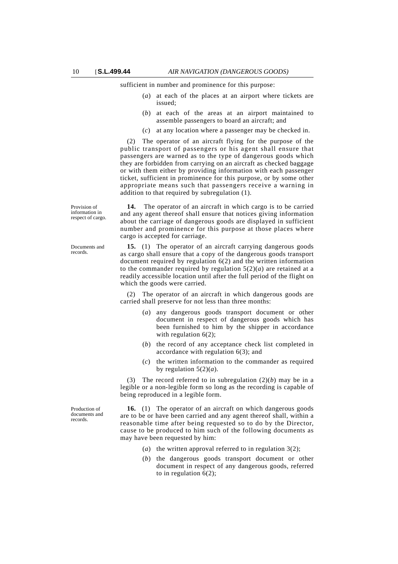sufficient in number and prominence for this purpose:

- (*a*) at each of the places at an airport where tickets are issued;
- (*b*) at each of the areas at an airport maintained to assemble passengers to board an aircraft; and
- (*c*) at any location where a passenger may be checked in.

(2) The operator of an aircraft flying for the purpose of the public transport of passengers or his agent shall ensure that passengers are warned as to the type of dangerous goods which they are forbidden from carrying on an aircraft as checked baggage or with them either by providing information with each passenger ticket, sufficient in prominence for this purpose, or by some other appropriate means such that passengers receive a warning in addition to that required by subregulation (1).

Provision of information in respect of cargo.

**14.** The operator of an aircraft in which cargo is to be carried and any agent thereof shall ensure that notices giving information about the carriage of dangerous goods are displayed in sufficient number and prominence for this purpose at those places where cargo is accepted for carriage.

**15.** (1) The operator of an aircraft carrying dangerous goods as cargo shall ensure that a copy of the dangerous goods transport document required by regulation 6(2) and the written information to the commander required by regulation  $5(2)(a)$  are retained at a readily accessible location until after the full period of the flight on which the goods were carried.

(2) The operator of an aircraft in which dangerous goods are carried shall preserve for not less than three months:

- (*a*) any dangerous goods transport document or other document in respect of dangerous goods which has been furnished to him by the shipper in accordance with regulation  $6(2)$ ;
- (*b*) the record of any acceptance check list completed in accordance with regulation 6(3); and
- (*c*) the written information to the commander as required by regulation  $5(2)(a)$ .

(3) The record referred to in subregulation (2)(*b*) may be in a legible or a non-legible form so long as the recording is capable of being reproduced in a legible form.

**16.** (1) The operator of an aircraft on which dangerous goods are to be or have been carried and any agent thereof shall, within a reasonable time after being requested so to do by the Director, cause to be produced to him such of the following documents as may have been requested by him:

- (*a*) the written approval referred to in regulation 3(2);
- (*b*) the dangerous goods transport document or other document in respect of any dangerous goods, referred to in regulation  $6(2)$ ;

Documents and records.

Production of documents and records.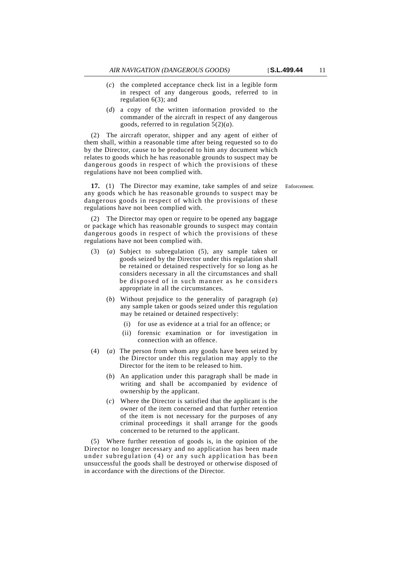- (*c*) the completed acceptance check list in a legible form in respect of any dangerous goods, referred to in regulation 6(3); and
- (*d*) a copy of the written information provided to the commander of the aircraft in respect of any dangerous goods, referred to in regulation 5(2)(*a*).

(2) The aircraft operator, shipper and any agent of either of them shall, within a reasonable time after being requested so to do by the Director, cause to be produced to him any document which relates to goods which he has reasonable grounds to suspect may be dangerous goods in respect of which the provisions of these regulations have not been complied with.

**17.** (1) The Director may examine, take samples of and seize Enforcement. any goods which he has reasonable grounds to suspect may be dangerous goods in respect of which the provisions of these regulations have not been complied with.

(2) The Director may open or require to be opened any baggage or package which has reasonable grounds to suspect may contain dangerous goods in respect of which the provisions of these regulations have not been complied with.

- (3) (*a*) Subject to subregulation (5), any sample taken or goods seized by the Director under this regulation shall be retained or detained respectively for so long as he considers necessary in all the circumstances and shall be disposed of in such manner as he considers appropriate in all the circumstances.
	- (*b*) Without prejudice to the generality of paragraph (*a*) any sample taken or goods seized under this regulation may be retained or detained respectively:
		- (i) for use as evidence at a trial for an offence; or
		- (ii) forensic examination or for investigation in connection with an offence.
- (4) (*a*) The person from whom any goods have been seized by the Director under this regulation may apply to the Director for the item to be released to him.
	- (*b*) An application under this paragraph shall be made in writing and shall be accompanied by evidence of ownership by the applicant.
	- (*c*) Where the Director is satisfied that the applicant is the owner of the item concerned and that further retention of the item is not necessary for the purposes of any criminal proceedings it shall arrange for the goods concerned to be returned to the applicant.

(5) Where further retention of goods is, in the opinion of the Director no longer necessary and no application has been made under subregulation (4) or any such application has been unsuccessful the goods shall be destroyed or otherwise disposed of in accordance with the directions of the Director.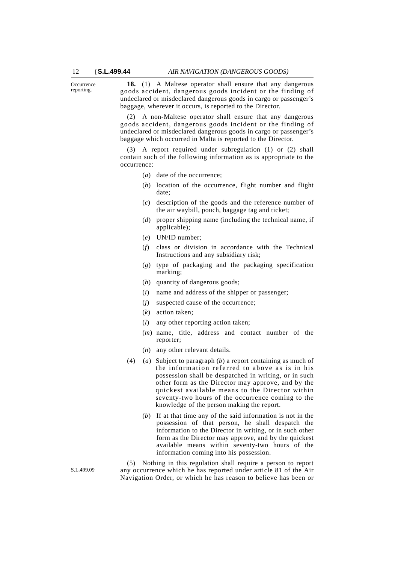**Occurrence** reporting.

**18.** (1) A Maltese operator shall ensure that any dangerous goods accident, dangerous goods incident or the finding of undeclared or misdeclared dangerous goods in cargo or passenger's baggage, wherever it occurs, is reported to the Director.

(2) A non-Maltese operator shall ensure that any dangerous goods accident, dangerous goods incident or the finding of undeclared or misdeclared dangerous goods in cargo or passenger's baggage which occurred in Malta is reported to the Director.

(3) A report required under subregulation (1) or (2) shall contain such of the following information as is appropriate to the occurrence:

- (*a*) date of the occurrence;
- (*b*) location of the occurrence, flight number and flight date;
- (*c*) description of the goods and the reference number of the air waybill, pouch, baggage tag and ticket;
- (*d*) proper shipping name (including the technical name, if applicable);
- (*e*) UN/ID number;
- (*f*) class or division in accordance with the Technical Instructions and any subsidiary risk;
- (*g*) type of packaging and the packaging specification marking;
- (*h*) quantity of dangerous goods;
- (*i*) name and address of the shipper or passenger;
- (*j*) suspected cause of the occurrence;
- (*k*) action taken;
- (*l*) any other reporting action taken;
- (*m*) name, title, address and contact number of the reporter;
- (*n*) any other relevant details.
- (4) (*a*) Subject to paragraph (*b*) a report containing as much of the information referred to above as is in his possession shall be despatched in writing, or in such other form as the Director may approve, and by the quickest available means to the Director within seventy-two hours of the occurrence coming to the knowledge of the person making the report.
	- (*b*) If at that time any of the said information is not in the possession of that person, he shall despatch the information to the Director in writing, or in such other form as the Director may approve, and by the quickest available means within seventy-two hours of the information coming into his possession.

(5) Nothing in this regulation shall require a person to report any occurrence which he has reported under article 81 of the Air Navigation Order, or which he has reason to believe has been or

S.L.499.09